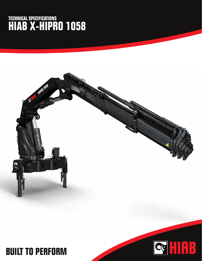## **TECHNICAL SPECIFICATIONS HIAB X-HIPRO 1058**



Q HAR

## **BUILT TO PERFORM**